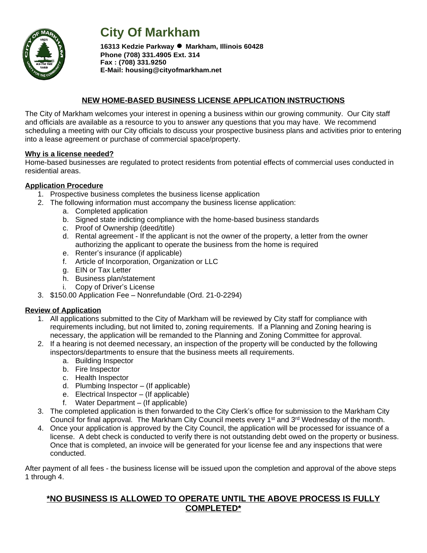

# **City Of Markham**

**<sup>16313</sup> Kedzie Parkway ● Markham, Illinois <sup>60428</sup> Phone (708) 331.4905 Ext. 314 Fax : (708) 331.9250 E-Mail: housing@cityofmarkham.net**

#### **NEW HOME-BASED BUSINESS LICENSE APPLICATION INSTRUCTIONS**

The City of Markham welcomes your interest in opening a business within our growing community. Our City staff and officials are available as a resource to you to answer any questions that you may have. We recommend scheduling a meeting with our City officials to discuss your prospective business plans and activities prior to entering into a lease agreement or purchase of commercial space/property.

#### **Why is a license needed?**

Home-based businesses are regulated to protect residents from potential effects of commercial uses conducted in residential areas.

#### **Application Procedure**

- 1. Prospective business completes the business license application
- 2. The following information must accompany the business license application:
	- a. Completed application
	- b. Signed state indicting compliance with the home-based business standards
	- c. Proof of Ownership (deed/title)
	- d. Rental agreement If the applicant is not the owner of the property, a letter from the owner authorizing the applicant to operate the business from the home is required
	- e. Renter's insurance (if applicable)
	- f. Article of Incorporation, Organization or LLC
	- g. EIN or Tax Letter
	- h. Business plan/statement
	- i. Copy of Driver's License
- 3. \$150.00 Application Fee Nonrefundable (Ord. 21-0-2294)

#### **Review of Application**

- 1. All applications submitted to the City of Markham will be reviewed by City staff for compliance with requirements including, but not limited to, zoning requirements. If a Planning and Zoning hearing is necessary, the application will be remanded to the Planning and Zoning Committee for approval.
- 2. If a hearing is not deemed necessary, an inspection of the property will be conducted by the following inspectors/departments to ensure that the business meets all requirements.
	- a. Building Inspector
	- b. Fire Inspector
	- c. Health Inspector
	- d. Plumbing Inspector (If applicable)
	- e. Electrical Inspector (If applicable)
	- f. Water Department (If applicable)
- 3. The completed application is then forwarded to the City Clerk's office for submission to the Markham City Council for final approval. The Markham City Council meets every 1<sup>st</sup> and 3<sup>rd</sup> Wednesday of the month.
- 4. Once your application is approved by the City Council, the application will be processed for issuance of a license. A debt check is conducted to verify there is not outstanding debt owed on the property or business. Once that is completed, an invoice will be generated for your license fee and any inspections that were conducted.

After payment of all fees - the business license will be issued upon the completion and approval of the above steps 1 through 4.

#### **\*NO BUSINESS IS ALLOWED TO OPERATE UNTIL THE ABOVE PROCESS IS FULLY COMPLETED\***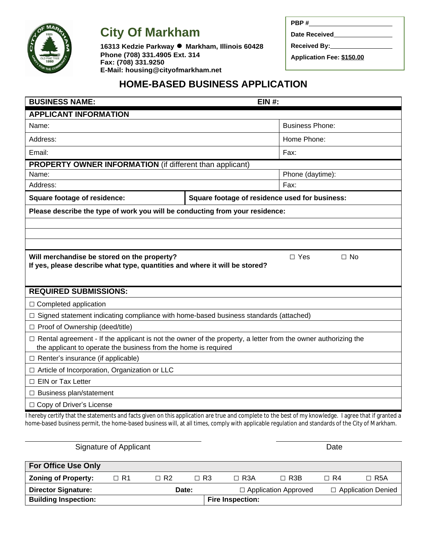

**City Of Markham**

**<sup>16313</sup> Kedzie Parkway ● Markham, Illinois <sup>60428</sup> Phone (708) 331.4905 Ext. 314 Fax: (708) 331.9250 E-Mail: housing@cityofmarkham.net**

| PBP #                            |
|----------------------------------|
| Date Received                    |
| Received By:                     |
| <b>Application Fee: \$150.00</b> |

## **HOME-BASED BUSINESS APPLICATION**

| <b>BUSINESS NAME:</b>                                                                                                                                                                                                                                                                                    | <b>EIN #:</b>                                  |                         |  |  |  |  |  |
|----------------------------------------------------------------------------------------------------------------------------------------------------------------------------------------------------------------------------------------------------------------------------------------------------------|------------------------------------------------|-------------------------|--|--|--|--|--|
| <b>APPLICANT INFORMATION</b>                                                                                                                                                                                                                                                                             |                                                |                         |  |  |  |  |  |
| Name:                                                                                                                                                                                                                                                                                                    | <b>Business Phone:</b>                         |                         |  |  |  |  |  |
| Address:                                                                                                                                                                                                                                                                                                 | Home Phone:                                    |                         |  |  |  |  |  |
| Email:                                                                                                                                                                                                                                                                                                   | Fax:                                           |                         |  |  |  |  |  |
| <b>PROPERTY OWNER INFORMATION</b> (if different than applicant)                                                                                                                                                                                                                                          |                                                |                         |  |  |  |  |  |
| Name:                                                                                                                                                                                                                                                                                                    | Phone (daytime):                               |                         |  |  |  |  |  |
| Address:                                                                                                                                                                                                                                                                                                 |                                                | Fax:                    |  |  |  |  |  |
| <b>Square footage of residence:</b>                                                                                                                                                                                                                                                                      | Square footage of residence used for business: |                         |  |  |  |  |  |
| Please describe the type of work you will be conducting from your residence:                                                                                                                                                                                                                             |                                                |                         |  |  |  |  |  |
|                                                                                                                                                                                                                                                                                                          |                                                |                         |  |  |  |  |  |
|                                                                                                                                                                                                                                                                                                          |                                                |                         |  |  |  |  |  |
|                                                                                                                                                                                                                                                                                                          |                                                |                         |  |  |  |  |  |
| Will merchandise be stored on the property?                                                                                                                                                                                                                                                              |                                                | $\Box$ Yes<br>$\Box$ No |  |  |  |  |  |
| If yes, please describe what type, quantities and where it will be stored?                                                                                                                                                                                                                               |                                                |                         |  |  |  |  |  |
|                                                                                                                                                                                                                                                                                                          |                                                |                         |  |  |  |  |  |
| <b>REQUIRED SUBMISSIONS:</b>                                                                                                                                                                                                                                                                             |                                                |                         |  |  |  |  |  |
| $\Box$ Completed application                                                                                                                                                                                                                                                                             |                                                |                         |  |  |  |  |  |
| $\Box$ Signed statement indicating compliance with home-based business standards (attached)                                                                                                                                                                                                              |                                                |                         |  |  |  |  |  |
| □ Proof of Ownership (deed/title)                                                                                                                                                                                                                                                                        |                                                |                         |  |  |  |  |  |
| $\Box$ Rental agreement - If the applicant is not the owner of the property, a letter from the owner authorizing the                                                                                                                                                                                     |                                                |                         |  |  |  |  |  |
| the applicant to operate the business from the home is required                                                                                                                                                                                                                                          |                                                |                         |  |  |  |  |  |
| $\Box$ Renter's insurance (if applicable)                                                                                                                                                                                                                                                                |                                                |                         |  |  |  |  |  |
| □ Article of Incorporation, Organization or LLC                                                                                                                                                                                                                                                          |                                                |                         |  |  |  |  |  |
| $\Box$ EIN or Tax Letter                                                                                                                                                                                                                                                                                 |                                                |                         |  |  |  |  |  |
| □ Business plan/statement                                                                                                                                                                                                                                                                                |                                                |                         |  |  |  |  |  |
| □ Copy of Driver's License                                                                                                                                                                                                                                                                               |                                                |                         |  |  |  |  |  |
| I hereby certify that the statements and facts given on this application are true and complete to the best of my knowledge. I agree that if granted a<br>home-based business permit, the home-based business will, at all times, comply with applicable regulation and standards of the City of Markham. |                                                |                         |  |  |  |  |  |
| Signature of Applicant                                                                                                                                                                                                                                                                                   |                                                | Date                    |  |  |  |  |  |

| <b>For Office Use Only</b>  |      |           |           |                         |                             |      |                           |  |
|-----------------------------|------|-----------|-----------|-------------------------|-----------------------------|------|---------------------------|--|
| <b>Zoning of Property:</b>  | □ R1 | $\Box$ R2 | $\Box$ R3 | $\Box$ R3A              | $\Box$ R3B                  | ⊟ R4 | $\Box$ R5A                |  |
| <b>Director Signature:</b>  |      | Date:     |           |                         | $\Box$ Application Approved |      | $\Box$ Application Denied |  |
| <b>Building Inspection:</b> |      |           |           | <b>Fire Inspection:</b> |                             |      |                           |  |